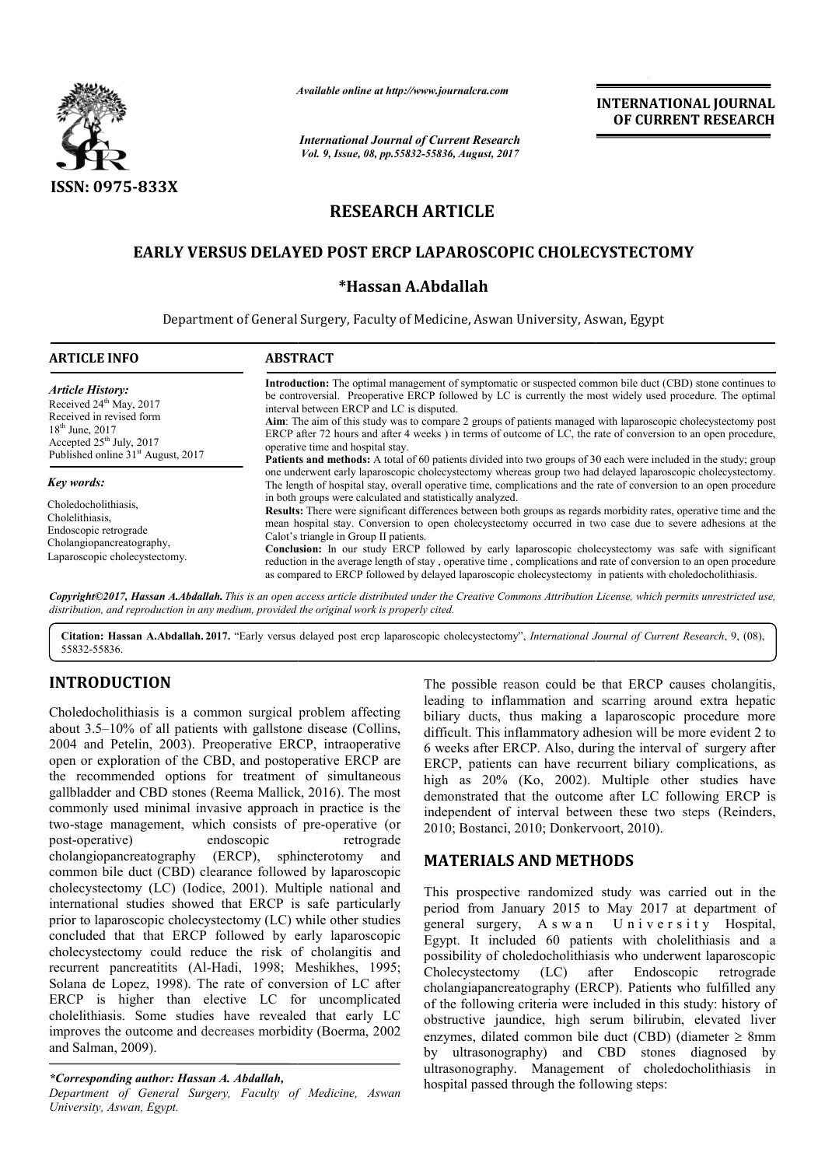

*Available online at http://www.journal http://www.journalcra.com*

*International Journal of Current Research Vol. 9, Issue, 08, pp.55832-55836, August, 2017*

**INTERNATIONAL JOURNAL OF CURRENT RESEARCH** 

# **RESEARCH ARTICLE**

# **EARLY VERSUS DELAYED POST ERCP LAPAROSCOPIC CHOLECYSTECTOMY**

## **\*Hassan A.Abdallah**

Department of General Surgery, Faculty of Medicine, Aswan University, Aswan, Egypt

| <b>ABSTRACT</b>                                                                                                                                                                                                                                                                                                                                                                                                                                                                                                                                                                                                                                                                               |  |  |
|-----------------------------------------------------------------------------------------------------------------------------------------------------------------------------------------------------------------------------------------------------------------------------------------------------------------------------------------------------------------------------------------------------------------------------------------------------------------------------------------------------------------------------------------------------------------------------------------------------------------------------------------------------------------------------------------------|--|--|
| <b>Introduction:</b> The optimal management of symptomatic or suspected common bile duct (CBD) stone continues to<br>be controversial. Preoperative ERCP followed by LC is currently the most widely used procedure. The optimal<br>interval between ERCP and LC is disputed.<br>Aim: The aim of this study was to compare 2 groups of patients managed with laparoscopic cholecystectomy post<br>ERCP after 72 hours and after 4 weeks) in terms of outcome of LC, the rate of conversion to an open procedure,<br>operative time and hospital stay.                                                                                                                                         |  |  |
| <b>Patients and methods:</b> A total of 60 patients divided into two groups of 30 each were included in the study; group<br>one underwent early laparoscopic cholecystectomy whereas group two had delayed laparoscopic cholecystectomy.<br>The length of hospital stay, overall operative time, complications and the rate of conversion to an open procedure                                                                                                                                                                                                                                                                                                                                |  |  |
| in both groups were calculated and statistically analyzed.<br>Results: There were significant differences between both groups as regards morbidity rates, operative time and the<br>mean hospital stay. Conversion to open cholecystectomy occurred in two case due to severe adhesions at the<br>Calot's triangle in Group II patients.<br><b>Conclusion:</b> In our study ERCP followed by early laparoscopic cholecystectomy was safe with significant<br>reduction in the average length of stay, operative time, complications and rate of conversion to an open procedure<br>as compared to ERCP followed by delayed laparoscopic cholecystectomy in patients with choledocholithiasis. |  |  |
|                                                                                                                                                                                                                                                                                                                                                                                                                                                                                                                                                                                                                                                                                               |  |  |

*Copyright©2017, Hassan A.Abdallah. This is an open access article distributed under the Creative Commons Attribution License, which ribution License, permits unrestricted use, distribution, and reproduction in any medium, provided the original work is properly cited.*

Citation: Hassan A.Abdallah. 2017. "Early versus delayed post ercp laparoscopic cholecystectomy", *International Journal of Current Research*, 9, (08), 55832-55836.

# **INTRODUCTION**

Choledocholithiasis is a common surgical problem affecting about 3.5–10% of all patients with gallstone disease (Collins, 2004 and Petelin, 2003). Preoperative ERCP, intraoperative open or exploration of the CBD, and postoperative ERCP are open or exploration of the CBD, and postoperative ERCP are the recommended options for treatment of simultaneous gallbladder and CBD stones (Reema Mallick, 2016). The most commonly used minimal invasive approach in practice is the two-stage management, which consists of pre-operative (or post-operative) endoscopic retrograde<br>cholangiopancreatography (ERCP), sphincterotomy and cholangiopancreatography (ERCP), sphincterotomy and common bile duct (CBD) clearance followed by laparoscopic cholecystectomy (LC) (Iodice, 2001). Multiple national and international studies showed that ERCP is safe particularly prior to laparoscopic cholecystectomy (LC) while other studies concluded that that ERCP followed by early laparoscopic cholecystectomy could reduce the risk of cholangitis and recurrent pancreatitits (Al-Hadi, 1998; Meshikhes, 1995; Solana de Lopez, 1998). The rate of conversion of LC after ERCP is higher than elective LC for uncomplicated cholelithiasis. Some studies have revealed that early LC improves the outcome and decreases morbidity (Boerma, 2002 and Salman, 2009). Hadi, 1998; Meshikhes, 1995;<br>le rate of conversion of LC after<br>lective LC for uncomplicated

## *\*Corresponding author: Hassan A. Abdallah,*

*Department of General Surgery, Faculty of Medicine, Aswan University, Aswan, Egypt.*

The possible reason could be that ERCP causes cholangitis, The possible reason could be that ERCP causes cholangitis, leading to inflammation and scarring around extra hepatic biliary ducts, thus making a laparoscopic procedure more difficult. This inflammatory adhesion will be more evident 2 to 6 weeks after ERCP. Also, during the interval of surgery after ERCP, patients can have recurrent biliary complications, as ERCP, patients can have recurrent biliary complications, as high as 20% (Ko, 2002). Multiple other studies have demonstrated that the outcome after LC following ERCP is independent of interval between these two steps (Reinders, 2010; Bostanci, 2010; Donkervoort, 2010 2010; 2010).

## **MATERIALS AND METHODS METHODS**

This prospective randomized study was carried out in the period from January 2015 to May 2017 at department of This prospective randomized study was carried out in the period from January 2015 to May 2017 at department of general surgery, A s w a n U n i v e r s i t y Hospital, Egypt. It included 60 patients with cholelithiasis and a possibility of choledocholithiasis who underwent laparoscopic Cholecystectomy (LC) after Endoscopic retrograde Egypt. It included 60 patients with cholelithiasis and a possibility of choledocholithiasis who underwent laparoscopic Cholecystectomy (LC) after Endoscopic retrograde cholangiapancreatography (ERCP). Patients who fulfille of the following criteria were included in this study: history of obstructive jaundice, high serum bilirubin, elevated liver enzymes, dilated common bile duct (CBD) (diameter  $\geq 8$ mm by ultrasonography) and CBD stones diagnosed by ultrasonography. Management of choledocholithiasis in hospital passed through the following steps: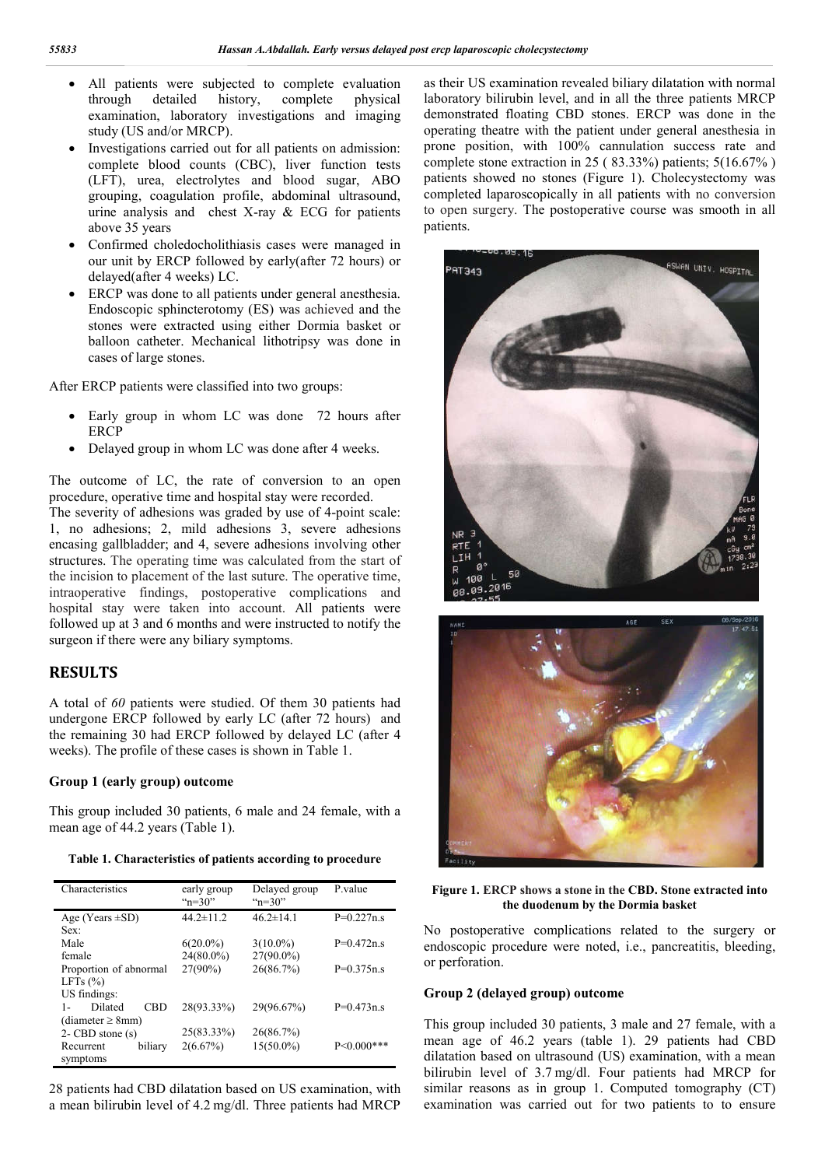- All patients were subjected to complete evaluation through detailed history, complete physical examination, laboratory investigations and imaging study (US and/or MRCP).
- Investigations carried out for all patients on admission: complete blood counts (CBC), liver function tests (LFT), urea, electrolytes and blood sugar, ABO grouping, coagulation profile, abdominal ultrasound, urine analysis and chest X-ray & ECG for patients above 35 years
- Confirmed choledocholithiasis cases were managed in our unit by ERCP followed by early(after 72 hours) or delayed(after 4 weeks) LC.
- ERCP was done to all patients under general anesthesia. Endoscopic sphincterotomy (ES) was achieved and the stones were extracted using either Dormia basket or balloon catheter. Mechanical lithotripsy was done in cases of large stones.

After ERCP patients were classified into two groups:

- Early group in whom LC was done 72 hours after ERCP
- Delayed group in whom LC was done after 4 weeks.

The outcome of LC, the rate of conversion to an open procedure, operative time and hospital stay were recorded.

The severity of adhesions was graded by use of 4-point scale: 1, no adhesions; 2, mild adhesions 3, severe adhesions encasing gallbladder; and 4, severe adhesions involving other structures. The operating time was calculated from the start of the incision to placement of the last suture. The operative time, intraoperative findings, postoperative complications and hospital stay were taken into account. All patients were followed up at 3 and 6 months and were instructed to notify the surgeon if there were any biliary symptoms.

## **RESULTS**

A total of *60* patients were studied. Of them 30 patients had undergone ERCP followed by early LC (after 72 hours) and the remaining 30 had ERCP followed by delayed LC (after 4 weeks). The profile of these cases is shown in Table 1.

#### **Group 1 (early group) outcome**

This group included 30 patients, 6 male and 24 female, with a mean age of 44.2 years (Table 1).

**Table 1. Characteristics of patients according to procedure**

| Characteristics                | early group<br>" $n=30$ " | Delayed group<br>" $n=30$ " | P value         |
|--------------------------------|---------------------------|-----------------------------|-----------------|
| Age (Years $\pm$ SD)           | $44.2 \pm 11.2$           | $46.2 \pm 14.1$             | $P=0.227n.s$    |
| Sex:                           |                           |                             |                 |
| Male                           | $6(20.0\%)$               | $3(10.0\%)$                 | $P=0.472n.s$    |
| female                         | $24(80.0\%)$              | $27(90.0\%)$                |                 |
| Proportion of abnormal         | $27(90\%)$                | 26(86.7%)                   | $P=0.375n.s$    |
| LFTs $(\% )$                   |                           |                             |                 |
| US findings:                   |                           |                             |                 |
| Dilated<br><b>CBD</b><br>$1 -$ | 28(93.33%)                | 29(96.67%)                  | $P=0.473n.s$    |
| (diameter $\geq$ 8mm)          |                           |                             |                 |
| $2 - CBD$ stone $(s)$          | 25(83.33%)                | 26(86.7%)                   |                 |
| Recurrent<br>biliary           | $2(6.67\%)$               | $15(50.0\%)$                | $P < 0.000$ *** |
| symptoms                       |                           |                             |                 |

28 patients had CBD dilatation based on US examination, with a mean bilirubin level of 4.2 mg/dl. Three patients had MRCP

as their US examination revealed biliary dilatation with normal laboratory bilirubin level, and in all the three patients MRCP demonstrated floating CBD stones. ERCP was done in the operating theatre with the patient under general anesthesia in prone position, with 100% cannulation success rate and complete stone extraction in 25 ( 83.33%) patients; 5(16.67% ) patients showed no stones (Figure 1). Cholecystectomy was completed laparoscopically in all patients with no conversion to open surgery. The postoperative course was smooth in all patients.





**Figure 1. ERCP shows a stone in the CBD. Stone extracted into the duodenum by the Dormia basket**

No postoperative complications related to the surgery or endoscopic procedure were noted, i.e., pancreatitis, bleeding, or perforation.

### **Group 2 (delayed group) outcome**

This group included 30 patients, 3 male and 27 female, with a mean age of 46.2 years (table 1). 29 patients had CBD dilatation based on ultrasound (US) examination, with a mean bilirubin level of 3.7 mg/dl. Four patients had MRCP for similar reasons as in group 1. Computed tomography (CT) examination was carried out for two patients to to ensure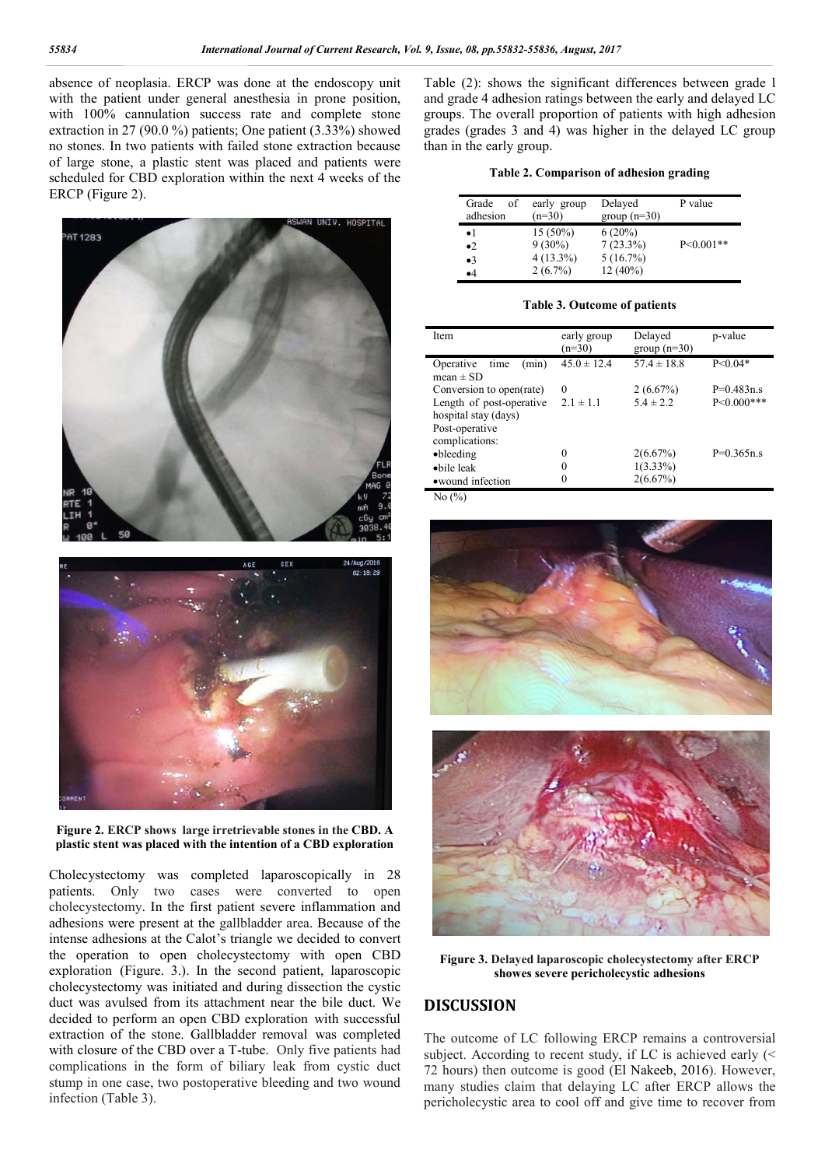absence of neoplasia. ERCP was done at the endoscopy unit with the patient under general anesthesia in prone position, with 100% cannulation success rate and complete stone extraction in 27 (90.0 %) patients; One patient (3.33%) showed no stones. In two patients with failed stone extraction because of large stone, a plastic stent was placed and patients were scheduled for CBD exploration within the next 4 weeks of the ERCP (Figure 2).



**Figure 2. ERCP shows large irretrievable stones in the CBD. A plastic stent was placed with the intention of a CBD exploration**

Cholecystectomy was completed laparoscopically in 28 patients. Only two cases were converted to open cholecystectomy. In the first patient severe inflammation and adhesions were present at the gallbladder area. Because of the intense adhesions at the Calot's triangle we decided to convert the operation to open cholecystectomy with open CBD exploration (Figure. 3.). In the second patient, laparoscopic cholecystectomy was initiated and during dissection the cystic duct was avulsed from its attachment near the bile duct. We decided to perform an open CBD exploration with successful extraction of the stone. Gallbladder removal was completed with closure of the CBD over a T-tube. Only five patients had complications in the form of biliary leak from cystic duct stump in one case, two postoperative bleeding and two wound infection (Table 3).

Table (2): shows the significant differences between grade l and grade 4 adhesion ratings between the early and delayed LC groups. The overall proportion of patients with high adhesion grades (grades 3 and 4) was higher in the delayed LC group than in the early group.

#### **Table 2. Comparison of adhesion grading**

| Grade<br>of<br>adhesion | early group<br>$(n=30)$ | Delayed<br>$group(n=30)$ | P value     |
|-------------------------|-------------------------|--------------------------|-------------|
| $\bullet$ 1             | $15(50\%)$              | $6(20\%)$                |             |
| $\bullet$ 2             | $9(30\%)$               | $7(23.3\%)$              | $P<0.001**$ |
| $\bullet$ 3             | $4(13.3\%)$             | 5(16.7%)                 |             |
| $\bullet$ 4             | $2(6.7\%)$              | $12(40\%)$               |             |

#### **Table 3. Outcome of patients**

| Item                       | early group<br>$(n=30)$ | Delayed<br>group $(n=30)$ | p-value         |
|----------------------------|-------------------------|---------------------------|-----------------|
| Operative<br>(min)<br>time | $45.0 \pm 12.4$         | $57.4 \pm 18.8$           | $P < 0.04*$     |
| mean $\pm$ SD              |                         |                           |                 |
| Conversion to open(rate)   | $\Omega$                | 2(6.67%)                  | $P=0.483n.s$    |
| Length of post-operative   | $2.1 \pm 1.1$           | $5.4 \pm 2.2$             | $P < 0.000$ *** |
| hospital stay (days)       |                         |                           |                 |
| Post-operative             |                         |                           |                 |
| complications:             |                         |                           |                 |
| •bleeding                  | 0                       | $2(6.67\%)$               | $P=0.365n.s$    |
| •bile leak                 | 0                       | $1(3.33\%)$               |                 |
| • wound infection          | 0                       | $2(6.67\%)$               |                 |

 $N_0$   $\frac{N_0}{N_0}$ 





**Figure 3. Delayed laparoscopic cholecystectomy after ERCP showes severe pericholecystic adhesions**

### **DISCUSSION**

The outcome of LC following ERCP remains a controversial subject. According to recent study, if LC is achieved early (< 72 hours) then outcome is good (El Nakeeb, 2016). However, many studies claim that delaying LC after ERCP allows the pericholecystic area to cool off and give time to recover from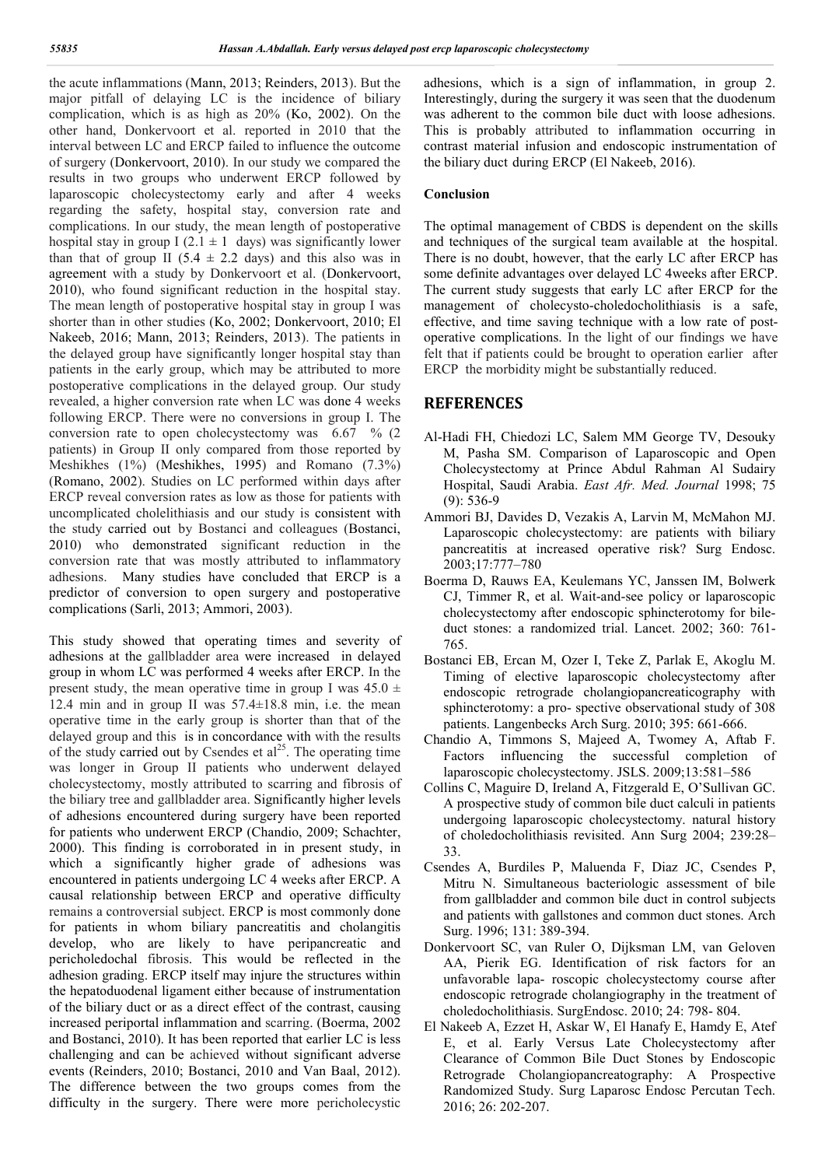the acute inflammations (Mann, 2013; Reinders, 2013). But the major pitfall of delaying LC is the incidence of biliary complication, which is as high as 20% (Ko, 2002). On the other hand, Donkervoort et al. reported in 2010 that the interval between LC and ERCP failed to influence the outcome of surgery (Donkervoort, 2010). In our study we compared the results in two groups who underwent ERCP followed by laparoscopic cholecystectomy early and after 4 weeks regarding the safety, hospital stay, conversion rate and complications. In our study, the mean length of postoperative hospital stay in group I (2.1  $\pm$  1 days) was significantly lower than that of group II (5.4  $\pm$  2.2 days) and this also was in agreement with a study by Donkervoort et al. (Donkervoort, 2010), who found significant reduction in the hospital stay. The mean length of postoperative hospital stay in group I was shorter than in other studies (Ko, 2002; Donkervoort, 2010; El Nakeeb, 2016; Mann, 2013; Reinders, 2013). The patients in the delayed group have significantly longer hospital stay than patients in the early group, which may be attributed to more postoperative complications in the delayed group. Our study revealed, a higher conversion rate when LC was done 4 weeks following ERCP. There were no conversions in group I. The conversion rate to open cholecystectomy was  $6.67\%$  (2) patients) in Group II only compared from those reported by Meshikhes (1%) (Meshikhes, 1995) and Romano (7.3%) (Romano, 2002). Studies on LC performed within days after ERCP reveal conversion rates as low as those for patients with uncomplicated cholelithiasis and our study is consistent with the study carried out by Bostanci and colleagues (Bostanci, 2010) who demonstrated significant reduction in the conversion rate that was mostly attributed to inflammatory adhesions. Many studies have concluded that ERCP is a predictor of conversion to open surgery and postoperative complications (Sarli, 2013; Ammori, 2003).

This study showed that operating times and severity of adhesions at the gallbladder area were increased in delayed group in whom LC was performed 4 weeks after ERCP. In the present study, the mean operative time in group I was  $45.0 \pm$ 12.4 min and in group II was  $57.4 \pm 18.8$  min, i.e. the mean operative time in the early group is shorter than that of the delayed group and this is in concordance with with the results of the study carried out by Csendes et  $al<sup>25</sup>$ . The operating time was longer in Group II patients who underwent delayed cholecystectomy, mostly attributed to scarring and fibrosis of the biliary tree and gallbladder area. Significantly higher levels of adhesions encountered during surgery have been reported for patients who underwent ERCP (Chandio, 2009; Schachter, 2000). This finding is corroborated in in present study, in which a significantly higher grade of adhesions was encountered in patients undergoing LC 4 weeks after ERCP. A causal relationship between ERCP and operative difficulty remains a controversial subject. ERCP is most commonly done for patients in whom biliary pancreatitis and cholangitis develop, who are likely to have peripancreatic and pericholedochal fibrosis. This would be reflected in the adhesion grading. ERCP itself may injure the structures within the hepatoduodenal ligament either because of instrumentation of the biliary duct or as a direct effect of the contrast, causing increased periportal inflammation and scarring. (Boerma, 2002 and Bostanci, 2010). It has been reported that earlier LC is less challenging and can be achieved without significant adverse events (Reinders, 2010; Bostanci, 2010 and Van Baal, 2012). The difference between the two groups comes from the difficulty in the surgery. There were more pericholecystic

adhesions, which is a sign of inflammation, in group 2. Interestingly, during the surgery it was seen that the duodenum was adherent to the common bile duct with loose adhesions. This is probably attributed to inflammation occurring in contrast material infusion and endoscopic instrumentation of the biliary duct during ERCP (El Nakeeb, 2016).

### **Conclusion**

The optimal management of CBDS is dependent on the skills and techniques of the surgical team available at the hospital. There is no doubt, however, that the early LC after ERCP has some definite advantages over delayed LC 4weeks after ERCP. The current study suggests that early LC after ERCP for the management of cholecysto-choledocholithiasis is a safe, effective, and time saving technique with a low rate of postoperative complications. In the light of our findings we have felt that if patients could be brought to operation earlier after ERCP the morbidity might be substantially reduced.

### **REFERENCES**

- Al-Hadi FH, Chiedozi LC, Salem MM George TV, Desouky M, Pasha SM. Comparison of Laparoscopic and Open Cholecystectomy at Prince Abdul Rahman Al Sudairy Hospital, Saudi Arabia. *East Afr. Med. Journal* 1998; 75 (9): 536-9
- Ammori BJ, Davides D, Vezakis A, Larvin M, McMahon MJ. Laparoscopic cholecystectomy: are patients with biliary pancreatitis at increased operative risk? Surg Endosc. 2003;17:777–780
- Boerma D, Rauws EA, Keulemans YC, Janssen IM, Bolwerk CJ, Timmer R, et al. Wait-and-see policy or laparoscopic cholecystectomy after endoscopic sphincterotomy for bileduct stones: a randomized trial. Lancet. 2002; 360: 761- 765.
- Bostanci EB, Ercan M, Ozer I, Teke Z, Parlak E, Akoglu M. Timing of elective laparoscopic cholecystectomy after endoscopic retrograde cholangiopancreaticography with sphincterotomy: a pro- spective observational study of 308 patients. Langenbecks Arch Surg. 2010; 395: 661-666.
- Chandio A, Timmons S, Majeed A, Twomey A, Aftab F. Factors influencing the successful completion of laparoscopic cholecystectomy. JSLS. 2009;13:581–586
- Collins C, Maguire D, Ireland A, Fitzgerald E, O'Sullivan GC. A prospective study of common bile duct calculi in patients undergoing laparoscopic cholecystectomy. natural history of choledocholithiasis revisited. Ann Surg 2004; 239:28– 33.
- Csendes A, Burdiles P, Maluenda F, Diaz JC, Csendes P, Mitru N. Simultaneous bacteriologic assessment of bile from gallbladder and common bile duct in control subjects and patients with gallstones and common duct stones. Arch Surg. 1996; 131: 389-394.
- Donkervoort SC, van Ruler O, Dijksman LM, van Geloven AA, Pierik EG. Identification of risk factors for an unfavorable lapa- roscopic cholecystectomy course after endoscopic retrograde cholangiography in the treatment of choledocholithiasis. SurgEndosc. 2010; 24: 798- 804.
- El Nakeeb A, Ezzet H, Askar W, El Hanafy E, Hamdy E, Atef E, et al. Early Versus Late Cholecystectomy after Clearance of Common Bile Duct Stones by Endoscopic Retrograde Cholangiopancreatography: A Prospective Randomized Study. Surg Laparosc Endosc Percutan Tech. 2016; 26: 202-207.